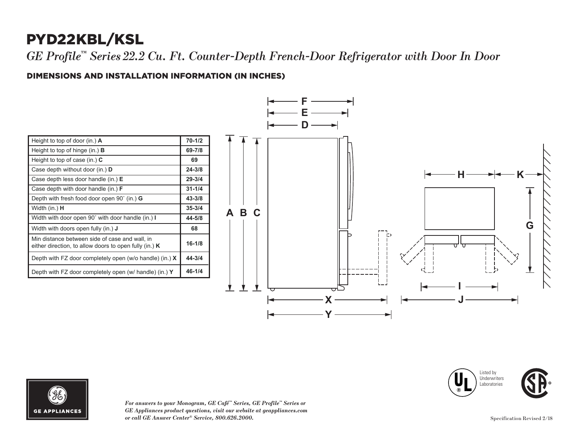## PYD22KBL/KSL

*GE Profile™ Series 22.2 Cu. Ft. Counter-Depth French-Door Refrigerator with Door In Door*

## DIMENSIONS AND INSTALLATION INFORMATION (IN INCHES) **I**

| Height to top of door (in.) $\bf{A}$                                                                       | $70 - 1/2$ |
|------------------------------------------------------------------------------------------------------------|------------|
| Height to top of hinge (in.) $\bf{B}$                                                                      | 69-7/8     |
| Height to top of case (in.) $C$                                                                            | 69         |
| Case depth without door (in.) <b>D</b>                                                                     | $24 - 3/8$ |
| Case depth less door handle (in.) $E$                                                                      | $29 - 3/4$ |
| Case depth with door handle (in.) $F$                                                                      | $31 - 1/4$ |
| Depth with fresh food door open $90^{\circ}$ (in.) G                                                       | $43 - 3/8$ |
| Width (in.) <b>H</b>                                                                                       | $35 - 3/4$ |
| Width with door open 90° with door handle (in.) I                                                          | 44-5/8     |
| Width with doors open fully (in.) <b>J</b>                                                                 | 68         |
| Min distance between side of case and wall, in<br>either direction, to allow doors to open fully (in.) $K$ | $16 - 1/8$ |
| Depth with FZ door completely open (w/o handle) (in.) $X$                                                  | 44-3/4     |
| Depth with FZ door completely open (w/ handle) (in.) Y                                                     | $46 - 1/4$ |









*For answers to your Monogram, GE Café™ Series, GE Profile™ Series or*   $GE$  *Appliances product questions, visit our website at geappliances.com or call GE Answer Center® Service, 800.626.2000.* Specification Revised 2/18